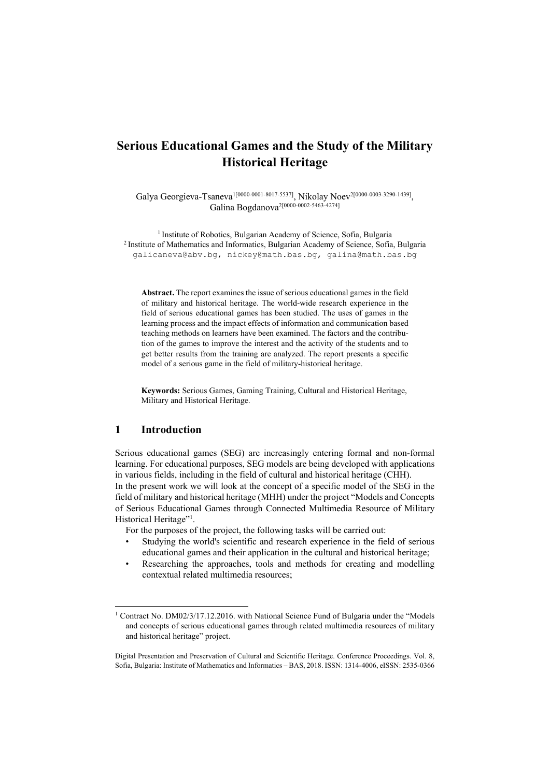# **Serious Educational Games and the Study of the Military Historical Heritage**

Galya Georgieva-Tsaneva<sup>1[0000-0001-8017-5537]</sup>, Nikolay Noev<sup>2[0000-0003-3290-1439]</sup> Galina Bogdanova<sup>2[0000-0002-5463-4274]</sup>

1 Institute of Robotics, Bulgarian Academy of Science, Sofia, Bulgaria 2 Institute of Mathematics and Informatics, Bulgarian Academy of Science, Sofia, Bulgaria galicaneva@abv.bg, nickey@math.bas.bg, galina@math.bas.bg

**Abstract.** The report examines the issue of serious educational games in the field of military and historical heritage. The world-wide research experience in the field of serious educational games has been studied. The uses of games in the learning process and the impact effects of information and communication based teaching methods on learners have been examined. The factors and the contribution of the games to improve the interest and the activity of the students and to get better results from the training are analyzed. The report presents a specific model of a serious game in the field of military-historical heritage.

**Keywords:** Serious Games, Gaming Training, Cultural and Historical Heritage, Military and Historical Heritage.

## **1 Introduction**

 $\overline{a}$ 

Serious educational games (SEG) are increasingly entering formal and non-formal learning. For educational purposes, SEG models are being developed with applications in various fields, including in the field of cultural and historical heritage (CHH). In the present work we will look at the concept of a specific model of the SEG in the field of military and historical heritage (MHH) under the project "Models and Concepts of Serious Educational Games through Connected Multimedia Resource of Military Historical Heritage"<sup>1</sup>.

For the purposes of the project, the following tasks will be carried out:

- Studying the world's scientific and research experience in the field of serious educational games and their application in the cultural and historical heritage;
- Researching the approaches, tools and methods for creating and modelling contextual related multimedia resources;

<sup>&</sup>lt;sup>1</sup> Contract No. DM02/3/17.12.2016. with National Science Fund of Bulgaria under the "Models" and concepts of serious educational games through related multimedia resources of military and historical heritage" project.

Digital Presentation and Preservation of Cultural and Scientific Heritage. Conference Proceedings. Vol. 8, Sofia, Bulgaria: Institute of Mathematics and Informatics – BAS, 2018. ISSN: 1314-4006, eISSN: 2535-0366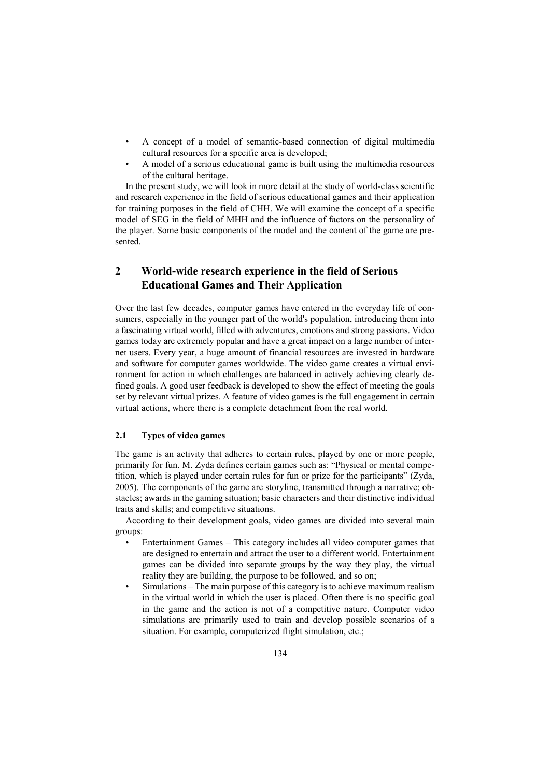- A concept of a model of semantic-based connection of digital multimedia cultural resources for a specific area is developed;
- A model of a serious educational game is built using the multimedia resources of the cultural heritage.

In the present study, we will look in more detail at the study of world-class scientific and research experience in the field of serious educational games and their application for training purposes in the field of CHH. We will examine the concept of a specific model of SEG in the field of MHH and the influence of factors on the personality of the player. Some basic components of the model and the content of the game are presented.

## **2 World-wide research experience in the field of Serious Educational Games and Their Application**

Over the last few decades, computer games have entered in the everyday life of consumers, especially in the younger part of the world's population, introducing them into a fascinating virtual world, filled with adventures, emotions and strong passions. Video games today are extremely popular and have a great impact on a large number of internet users. Every year, a huge amount of financial resources are invested in hardware and software for computer games worldwide. The video game creates a virtual environment for action in which challenges are balanced in actively achieving clearly defined goals. A good user feedback is developed to show the effect of meeting the goals set by relevant virtual prizes. A feature of video games is the full engagement in certain virtual actions, where there is a complete detachment from the real world.

#### **2.1 Types of video games**

The game is an activity that adheres to certain rules, played by one or more people, primarily for fun. M. Zyda defines certain games such as: "Physical or mental competition, which is played under certain rules for fun or prize for the participants" (Zyda, 2005). The components of the game are storyline, transmitted through a narrative; obstacles; awards in the gaming situation; basic characters and their distinctive individual traits and skills; and competitive situations.

According to their development goals, video games are divided into several main groups:

- Entertainment Games This category includes all video computer games that are designed to entertain and attract the user to a different world. Entertainment games can be divided into separate groups by the way they play, the virtual reality they are building, the purpose to be followed, and so on;
- Simulations The main purpose of this category is to achieve maximum realism in the virtual world in which the user is placed. Often there is no specific goal in the game and the action is not of a competitive nature. Computer video simulations are primarily used to train and develop possible scenarios of a situation. For example, computerized flight simulation, etc.;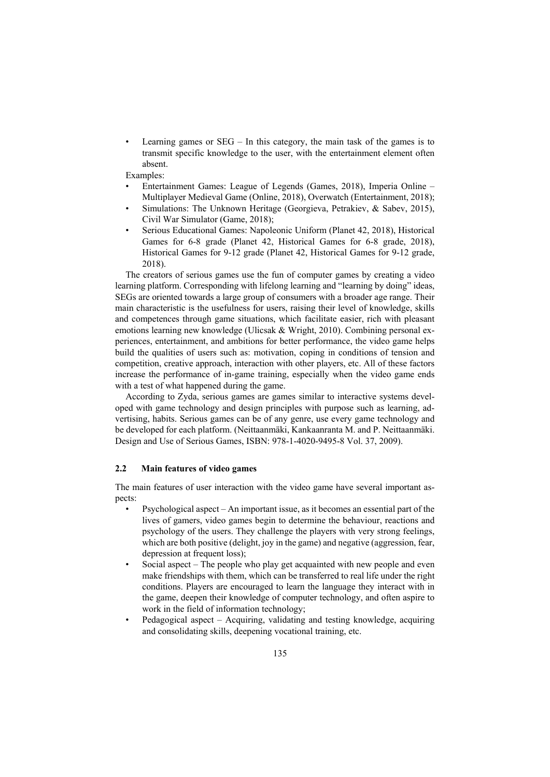Learning games or  $SEG - In this category, the main task of the games is to$ transmit specific knowledge to the user, with the entertainment element often absent.

Examples:

- Entertainment Games: League of Legends (Games, 2018), Imperia Online Multiplayer Medieval Game (Online, 2018), Overwatch (Entertainment, 2018);
- Simulations: The Unknown Heritage (Georgieva, Petrakiev, & Sabev, 2015), Civil War Simulator (Game, 2018);
- Serious Educational Games: Napoleonic Uniform (Planet 42, 2018), Historical Games for 6-8 grade (Planet 42, Historical Games for 6-8 grade, 2018), Historical Games for 9-12 grade (Planet 42, Historical Games for 9-12 grade, 2018).

The creators of serious games use the fun of computer games by creating a video learning platform. Corresponding with lifelong learning and "learning by doing" ideas, SEGs are oriented towards a large group of consumers with a broader age range. Their main characteristic is the usefulness for users, raising their level of knowledge, skills and competences through game situations, which facilitate easier, rich with pleasant emotions learning new knowledge (Ulicsak & Wright, 2010). Combining personal experiences, entertainment, and ambitions for better performance, the video game helps build the qualities of users such as: motivation, coping in conditions of tension and competition, creative approach, interaction with other players, etc. All of these factors increase the performance of in-game training, especially when the video game ends with a test of what happened during the game.

According to Zyda, serious games are games similar to interactive systems developed with game technology and design principles with purpose such as learning, advertising, habits. Serious games can be of any genre, use every game technology and be developed for each platform. (Neittaanmäki, Kankaanranta M. and P. Neittaanmäki. Design and Use of Serious Games, ISBN: 978-1-4020-9495-8 Vol. 37, 2009).

#### **2.2 Main features of video games**

The main features of user interaction with the video game have several important aspects:

- Psychological aspect An important issue, as it becomes an essential part of the lives of gamers, video games begin to determine the behaviour, reactions and psychology of the users. They challenge the players with very strong feelings, which are both positive (delight, joy in the game) and negative (aggression, fear, depression at frequent loss);
- Social aspect The people who play get acquainted with new people and even make friendships with them, which can be transferred to real life under the right conditions. Players are encouraged to learn the language they interact with in the game, deepen their knowledge of computer technology, and often aspire to work in the field of information technology;
- Pedagogical aspect Acquiring, validating and testing knowledge, acquiring and consolidating skills, deepening vocational training, etc.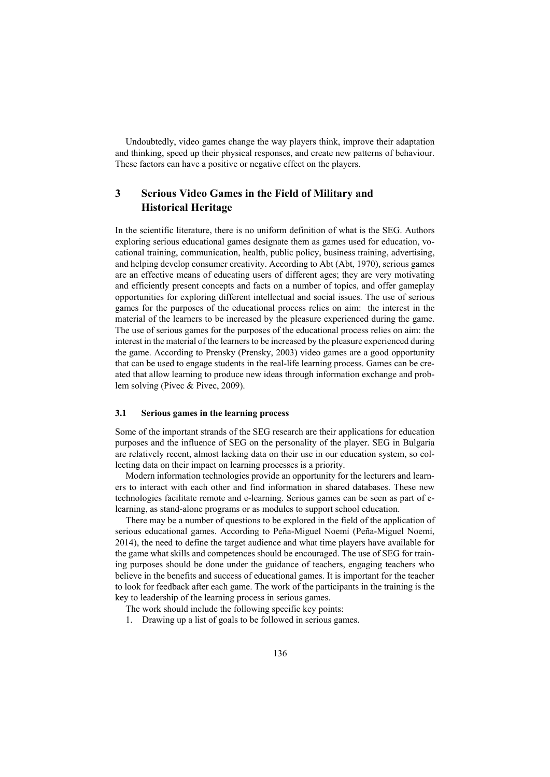Undoubtedly, video games change the way players think, improve their adaptation and thinking, speed up their physical responses, and create new patterns of behaviour. These factors can have a positive or negative effect on the players.

## **3 Serious Video Games in the Field of Military and Historical Heritage**

In the scientific literature, there is no uniform definition of what is the SEG. Authors exploring serious educational games designate them as games used for education, vocational training, communication, health, public policy, business training, advertising, and helping develop consumer creativity. According to Abt (Abt, 1970), serious games are an effective means of educating users of different ages; they are very motivating and efficiently present concepts and facts on a number of topics, and offer gameplay opportunities for exploring different intellectual and social issues. The use of serious games for the purposes of the educational process relies on aim: the interest in the material of the learners to be increased by the pleasure experienced during the game. The use of serious games for the purposes of the educational process relies on aim: the interest in the material of the learners to be increased by the pleasure experienced during the game. According to Prensky (Prensky, 2003) video games are a good opportunity that can be used to engage students in the real-life learning process. Games can be created that allow learning to produce new ideas through information exchange and problem solving (Pivec & Pivec, 2009).

#### **3.1 Serious games in the learning process**

Some of the important strands of the SEG research are their applications for education purposes and the influence of SEG on the personality of the player. SEG in Bulgaria are relatively recent, almost lacking data on their use in our education system, so collecting data on their impact on learning processes is a priority.

Modern information technologies provide an opportunity for the lecturers and learners to interact with each other and find information in shared databases. These new technologies facilitate remote and e-learning. Serious games can be seen as part of elearning, as stand-alone programs or as modules to support school education.

There may be a number of questions to be explored in the field of the application of serious educational games. According to Peña-Miguel Noemí (Peña-Miguel Noemí, 2014), the need to define the target audience and what time players have available for the game what skills and competences should be encouraged. The use of SEG for training purposes should be done under the guidance of teachers, engaging teachers who believe in the benefits and success of educational games. It is important for the teacher to look for feedback after each game. The work of the participants in the training is the key to leadership of the learning process in serious games.

The work should include the following specific key points:

1. Drawing up a list of goals to be followed in serious games.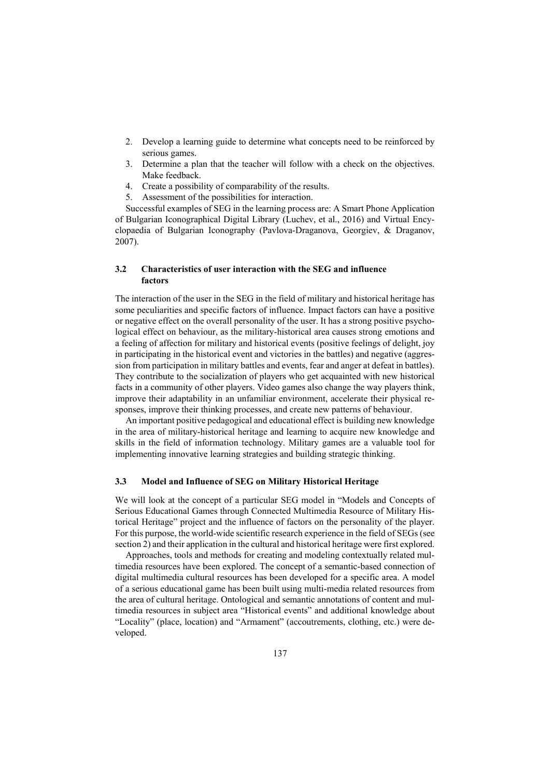- 2. Develop a learning guide to determine what concepts need to be reinforced by serious games.
- 3. Determine a plan that the teacher will follow with a check on the objectives. Make feedback.
- 4. Create a possibility of comparability of the results.
- 5. Assessment of the possibilities for interaction.

Successful examples of SEG in the learning process are: A Smart Phone Application of Bulgarian Iconographical Digital Library (Luchev, et al., 2016) and Virtual Encyclopaedia of Bulgarian Iconography (Pavlova-Draganova, Georgiev, & Draganov, 2007).

### **3.2 Characteristics of user interaction with the SEG and influence factors**

The interaction of the user in the SEG in the field of military and historical heritage has some peculiarities and specific factors of influence. Impact factors can have a positive or negative effect on the overall personality of the user. It has a strong positive psychological effect on behaviour, as the military-historical area causes strong emotions and a feeling of affection for military and historical events (positive feelings of delight, joy in participating in the historical event and victories in the battles) and negative (aggression from participation in military battles and events, fear and anger at defeat in battles). They contribute to the socialization of players who get acquainted with new historical facts in a community of other players. Video games also change the way players think, improve their adaptability in an unfamiliar environment, accelerate their physical responses, improve their thinking processes, and create new patterns of behaviour.

An important positive pedagogical and educational effect is building new knowledge in the area of military-historical heritage and learning to acquire new knowledge and skills in the field of information technology. Military games are a valuable tool for implementing innovative learning strategies and building strategic thinking.

#### **3.3 Model and Influence of SEG on Military Historical Heritage**

We will look at the concept of a particular SEG model in "Models and Concepts of Serious Educational Games through Connected Multimedia Resource of Military Historical Heritage" project and the influence of factors on the personality of the player. For this purpose, the world-wide scientific research experience in the field of SEGs (see section 2) and their application in the cultural and historical heritage were first explored.

Approaches, tools and methods for creating and modeling contextually related multimedia resources have been explored. The concept of a semantic-based connection of digital multimedia cultural resources has been developed for a specific area. A model of a serious educational game has been built using multi-media related resources from the area of cultural heritage. Ontological and semantic annotations of content and multimedia resources in subject area "Historical events" and additional knowledge about "Locality" (place, location) and "Armament" (accoutrements, clothing, etc.) were developed.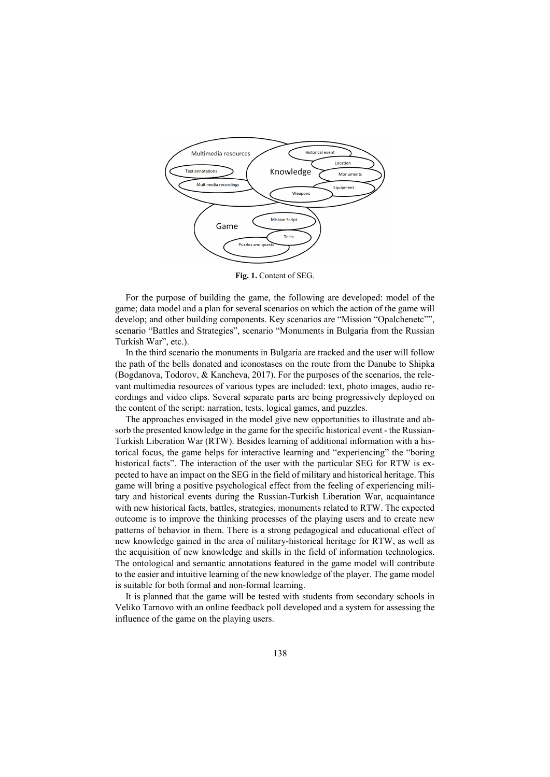

**Fig. 1.** Content of SEG.

For the purpose of building the game, the following are developed: model of the game; data model and a plan for several scenarios on which the action of the game will develop; and other building components. Key scenarios are "Mission "Opalchenetc"", scenario "Battles and Strategies", scenario "Monuments in Bulgaria from the Russian Turkish War", etc.).

In the third scenario the monuments in Bulgaria are tracked and the user will follow the path of the bells donated and iconostases on the route from the Danube to Shipka (Bogdanova, Todorov, & Kancheva, 2017). For the purposes of the scenarios, the relevant multimedia resources of various types are included: text, photo images, audio recordings and video clips. Several separate parts are being progressively deployed on the content of the script: narration, tests, logical games, and puzzles.

The approaches envisaged in the model give new opportunities to illustrate and absorb the presented knowledge in the game for the specific historical event - the Russian-Turkish Liberation War (RTW). Besides learning of additional information with a historical focus, the game helps for interactive learning and "experiencing" the "boring historical facts". The interaction of the user with the particular SEG for RTW is expected to have an impact on the SEG in the field of military and historical heritage. This game will bring a positive psychological effect from the feeling of experiencing military and historical events during the Russian-Turkish Liberation War, acquaintance with new historical facts, battles, strategies, monuments related to RTW. The expected outcome is to improve the thinking processes of the playing users and to create new patterns of behavior in them. There is a strong pedagogical and educational effect of new knowledge gained in the area of military-historical heritage for RTW, as well as the acquisition of new knowledge and skills in the field of information technologies. The ontological and semantic annotations featured in the game model will contribute to the easier and intuitive learning of the new knowledge of the player. The game model is suitable for both formal and non-formal learning.

It is planned that the game will be tested with students from secondary schools in Veliko Tarnovo with an online feedback poll developed and a system for assessing the influence of the game on the playing users.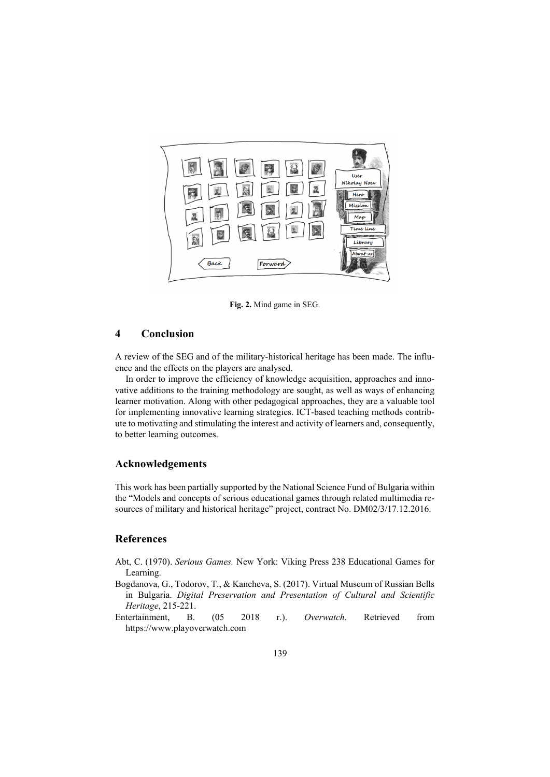

**Fig. 2.** Mind game in SEG.

## **4 Conclusion**

A review of the SEG and of the military-historical heritage has been made. The influence and the effects on the players are analysed.

In order to improve the efficiency of knowledge acquisition, approaches and innovative additions to the training methodology are sought, as well as ways of enhancing learner motivation. Along with other pedagogical approaches, they are a valuable tool for implementing innovative learning strategies. ICT-based teaching methods contribute to motivating and stimulating the interest and activity of learners and, consequently, to better learning outcomes.

#### **Acknowledgements**

This work has been partially supported by the National Science Fund of Bulgaria within the "Models and concepts of serious educational games through related multimedia resources of military and historical heritage" project, contract No. DM02/3/17.12.2016.

## **References**

- Abt, C. (1970). *Serious Games.* New York: Viking Press 238 Educational Games for Learning.
- Bogdanova, G., Todorov, T., & Kancheva, S. (2017). Virtual Museum of Russian Bells in Bulgaria. *Digital Preservation and Presentation of Cultural and Scientific Heritage*, 215-221.
- Entertainment, B. (05 2018 r.). *Overwatch*. Retrieved from https://www.playoverwatch.com